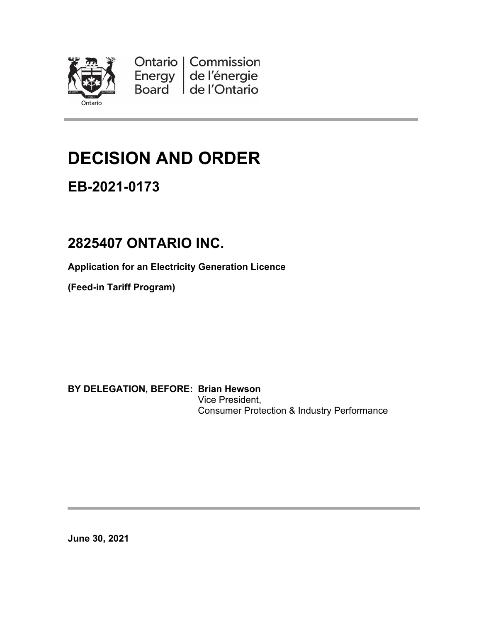

Ontario | Commission Energy de l'énergie de l'Ontario Board

# **DECISION AND ORDER**

## **EB-2021-0173**

## **2825407 ONTARIO INC.**

**Application for an Electricity Generation Licence**

**(Feed-in Tariff Program)**

**BY DELEGATION, BEFORE: Brian Hewson** Vice President,

Consumer Protection & Industry Performance

**June 30, 2021**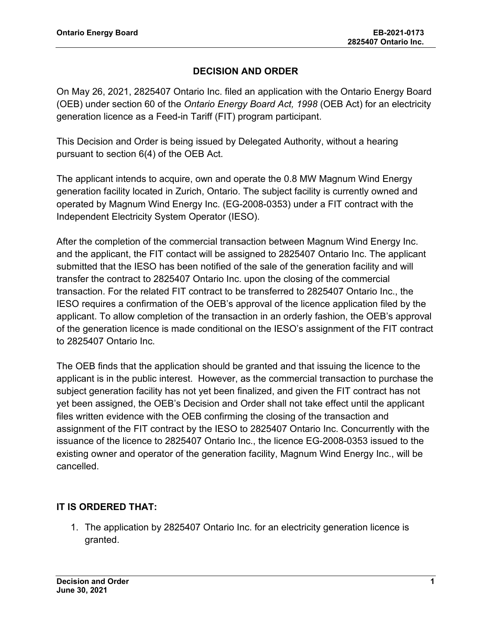#### **DECISION AND ORDER**

On May 26, 2021, 2825407 Ontario Inc. filed an application with the Ontario Energy Board (OEB) under section 60 of the *Ontario Energy Board Act, 1998* (OEB Act) for an electricity generation licence as a Feed-in Tariff (FIT) program participant.

This Decision and Order is being issued by Delegated Authority, without a hearing pursuant to section 6(4) of the OEB Act.

The applicant intends to acquire, own and operate the 0.8 MW Magnum Wind Energy generation facility located in Zurich, Ontario. The subject facility is currently owned and operated by Magnum Wind Energy Inc. (EG-2008-0353) under a FIT contract with the Independent Electricity System Operator (IESO).

After the completion of the commercial transaction between Magnum Wind Energy Inc. and the applicant, the FIT contact will be assigned to 2825407 Ontario Inc. The applicant submitted that the IESO has been notified of the sale of the generation facility and will transfer the contract to 2825407 Ontario Inc. upon the closing of the commercial transaction. For the related FIT contract to be transferred to 2825407 Ontario Inc., the IESO requires a confirmation of the OEB's approval of the licence application filed by the applicant. To allow completion of the transaction in an orderly fashion, the OEB's approval of the generation licence is made conditional on the IESO's assignment of the FIT contract to 2825407 Ontario Inc.

The OEB finds that the application should be granted and that issuing the licence to the applicant is in the public interest. However, as the commercial transaction to purchase the subject generation facility has not yet been finalized, and given the FIT contract has not yet been assigned, the OEB's Decision and Order shall not take effect until the applicant files written evidence with the OEB confirming the closing of the transaction and assignment of the FIT contract by the IESO to 2825407 Ontario Inc. Concurrently with the issuance of the licence to 2825407 Ontario Inc., the licence EG-2008-0353 issued to the existing owner and operator of the generation facility, Magnum Wind Energy Inc., will be cancelled.

### **IT IS ORDERED THAT:**

1. The application by 2825407 Ontario Inc. for an electricity generation licence is granted.